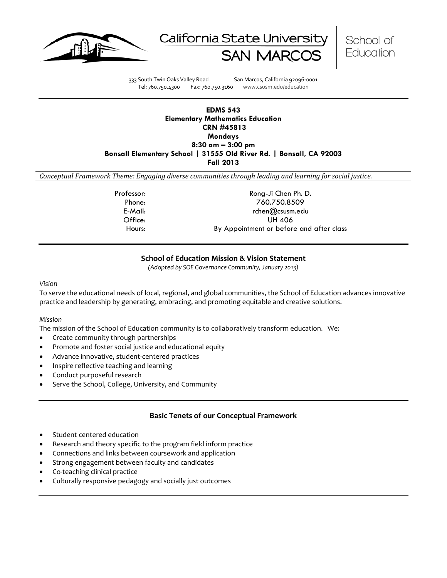





333 South Twin Oaks Valley Road San Marcos, California 92096-0001 Tel: 760.750.4300 Fax: 760.750.3160 www.csusm.edu/education

### **EDMS 543 Elementary Mathematics Education CRN #45813 Mondays 8:30 am – 3:00 pm Bonsall Elementary School | 31555 Old River Rd. | Bonsall, CA 92003 Fall 2013**

*Conceptual Framework Theme: Engaging diverse communities through leading and learning for social justice.*

| Professor: | Rong-Ji Chen Ph. D.                      |
|------------|------------------------------------------|
| Phone:     | 760.750.8509                             |
| E-Mail:    | rchen@csusm.edu                          |
| Office:    | UH 406                                   |
| Hours:     | By Appointment or before and after class |
|            |                                          |

## **School of Education Mission & Vision Statement**

*(Adopted by SOE Governance Community, January 2013)*

*Vision*

To serve the educational needs of local, regional, and global communities, the School of Education advances innovative practice and leadership by generating, embracing, and promoting equitable and creative solutions.

#### *Mission*

The mission of the School of Education community is to collaboratively transform education. We:

- Create community through partnerships
- Promote and foster social justice and educational equity
- Advance innovative, student-centered practices
- Inspire reflective teaching and learning
- Conduct purposeful research
- Serve the School, College, University, and Community

## **Basic Tenets of our Conceptual Framework**

- Student centered education
- Research and theory specific to the program field inform practice
- Connections and links between coursework and application
- Strong engagement between faculty and candidates
- Co-teaching clinical practice
- Culturally responsive pedagogy and socially just outcomes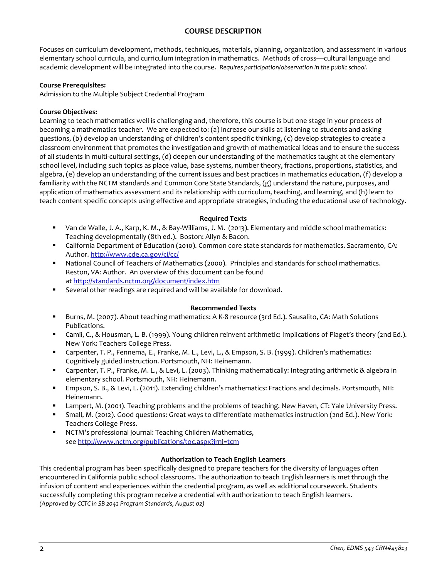## **COURSE DESCRIPTION**

Focuses on curriculum development, methods, techniques, materials, planning, organization, and assessment in various elementary school curricula, and curriculum integration in mathematics. Methods of cross—cultural language and academic development will be integrated into the course. *Requires participation/observation in the public school.* 

### **Course Prerequisites:**

Admission to the Multiple Subject Credential Program

### **Course Objectives:**

Learning to teach mathematics well is challenging and, therefore, this course is but one stage in your process of becoming a mathematics teacher. We are expected to: (a) increase our skills at listening to students and asking questions, (b) develop an understanding of children's content specific thinking, (c) develop strategies to create a classroom environment that promotes the investigation and growth of mathematical ideas and to ensure the success of all students in multi-cultural settings, (d) deepen our understanding of the mathematics taught at the elementary school level, including such topics as place value, base systems, number theory, fractions, proportions, statistics, and algebra, (e) develop an understanding of the current issues and best practices in mathematics education, (f) develop a familiarity with the NCTM standards and Common Core State Standards, (g) understand the nature, purposes, and application of mathematics assessment and its relationship with curriculum, teaching, and learning, and (h) learn to teach content specific concepts using effective and appropriate strategies, including the educational use of technology.

## **Required Texts**

- Van de Walle, J. A., Karp, K. M., & Bay-Williams, J. M. (2013). Elementary and middle school mathematics: Teaching developmentally (8th ed.). Boston: Allyn & Bacon.
- California Department of Education (2010). Common core state standards for mathematics. Sacramento, CA: Author[. http://www.cde.ca.gov/ci/cc/](http://www.cde.ca.gov/ci/cc/)
- National Council of Teachers of Mathematics (2000). Principles and standards for school mathematics. Reston, VA: Author. An overview of this document can be found a[t http://standards.nctm.org/document/index.htm](http://standards.nctm.org/document/index.htm)
- Several other readings are required and will be available for download.

#### **Recommended Texts**

- Burns, M. (2007). About teaching mathematics: A K-8 resource (3rd Ed.). Sausalito, CA: Math Solutions Publications.
- Camii, C., & Housman, L. B. (1999). Young children reinvent arithmetic: Implications of Piaget's theory (2nd Ed.). New York: Teachers College Press.
- Carpenter, T. P., Fennema, E., Franke, M. L., Levi, L., & Empson, S. B. (1999). Children's mathematics: Cognitively guided instruction. Portsmouth, NH: Heinemann.
- Carpenter, T. P., Franke, M. L., & Levi, L. (2003). Thinking mathematically: Integrating arithmetic & algebra in elementary school. Portsmouth, NH: Heinemann.
- Empson, S. B., & Levi, L. (2011). Extending children's mathematics: Fractions and decimals. Portsmouth, NH: Heinemann.
- Lampert, M. (2001). Teaching problems and the problems of teaching. New Haven, CT: Yale University Press.
- Small, M. (2012). Good questions: Great ways to differentiate mathematics instruction (2nd Ed.). New York: Teachers College Press.
- NCTM's professional journal: Teaching Children Mathematics, se[e http://www.nctm.org/publications/toc.aspx?jrnl=tcm](http://www.nctm.org/publications/toc.aspx?jrnl=tcm)

#### **Authorization to Teach English Learners**

This credential program has been specifically designed to prepare teachers for the diversity of languages often encountered in California public school classrooms. The authorization to teach English learners is met through the infusion of content and experiences within the credential program, as well as additional coursework. Students successfully completing this program receive a credential with authorization to teach English learners. *(Approved by CCTC in SB 2042 Program Standards, August 02)*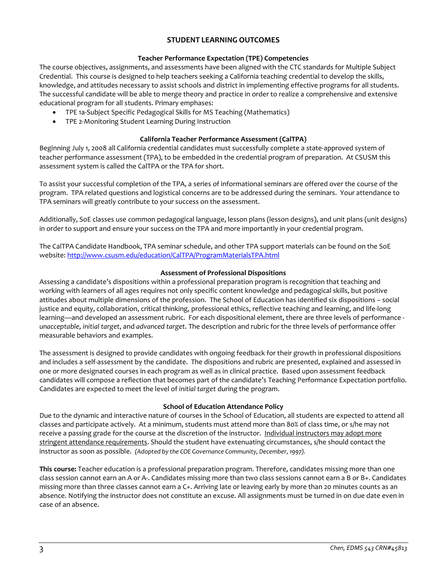## **STUDENT LEARNING OUTCOMES**

## **Teacher Performance Expectation (TPE) Competencies**

The course objectives, assignments, and assessments have been aligned with the CTC standards for Multiple Subject Credential. This course is designed to help teachers seeking a California teaching credential to develop the skills, knowledge, and attitudes necessary to assist schools and district in implementing effective programs for all students. The successful candidate will be able to merge theory and practice in order to realize a comprehensive and extensive educational program for all students. Primary emphases:

- TPE 1a-Subject Specific Pedagogical Skills for MS Teaching (Mathematics)
- TPE 2-Monitoring Student Learning During Instruction

### **California Teacher Performance Assessment (CalTPA)**

Beginning July 1, 2008 all California credential candidates must successfully complete a state-approved system of teacher performance assessment (TPA), to be embedded in the credential program of preparation. At CSUSM this assessment system is called the CalTPA or the TPA for short.

To assist your successful completion of the TPA, a series of informational seminars are offered over the course of the program. TPA related questions and logistical concerns are to be addressed during the seminars. Your attendance to TPA seminars will greatly contribute to your success on the assessment.

Additionally, SoE classes use common pedagogical language, lesson plans (lesson designs), and unit plans (unit designs) in order to support and ensure your success on the TPA and more importantly in your credential program.

The CalTPA Candidate Handbook, TPA seminar schedule, and other TPA support materials can be found on the SoE website[: http://www.csusm.edu/education/CalTPA/ProgramMaterialsTPA.html](http://www.csusm.edu/education/CalTPA/ProgramMaterialsTPA.html)

#### **Assessment of Professional Dispositions**

Assessing a candidate's dispositions within a professional preparation program is recognition that teaching and working with learners of all ages requires not only specific content knowledge and pedagogical skills, but positive attitudes about multiple dimensions of the profession. The School of Education has identified six dispositions – social justice and equity, collaboration, critical thinking, professional ethics, reflective teaching and learning, and life-long learning—and developed an assessment rubric. For each dispositional element, there are three levels of performance *unacceptable*, *initial target*, and *advanced target*. The description and rubric for the three levels of performance offer measurable behaviors and examples.

The assessment is designed to provide candidates with ongoing feedback for their growth in professional dispositions and includes a self-assessment by the candidate. The dispositions and rubric are presented, explained and assessed in one or more designated courses in each program as well as in clinical practice. Based upon assessment feedback candidates will compose a reflection that becomes part of the candidate's Teaching Performance Expectation portfolio. Candidates are expected to meet the level of *initial target* during the program.

#### **School of Education Attendance Policy**

Due to the dynamic and interactive nature of courses in the School of Education, all students are expected to attend all classes and participate actively. At a minimum, students must attend more than 80% of class time, or s/he may not receive a passing grade for the course at the discretion of the instructor. Individual instructors may adopt more stringent attendance requirements. Should the student have extenuating circumstances, s/he should contact the instructor as soon as possible. *(Adopted by the COE Governance Community, December, 1997).*

**This course:** Teacher education is a professional preparation program. Therefore, candidates missing more than one class session cannot earn an A or A-. Candidates missing more than two class sessions cannot earn a B or B+. Candidates missing more than three classes cannot earn a C+. Arriving late or leaving early by more than 20 minutes counts as an absence. Notifying the instructor does not constitute an excuse. All assignments must be turned in on due date even in case of an absence.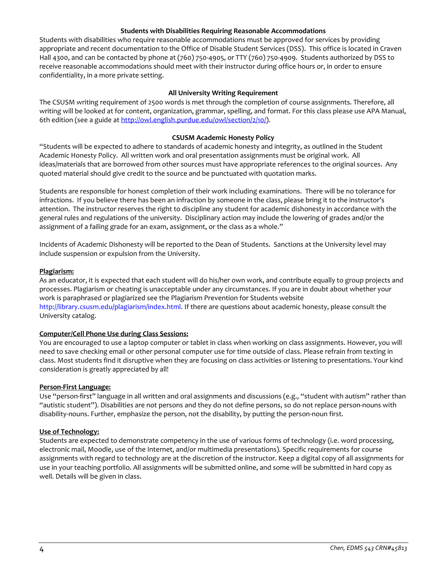#### **Students with Disabilities Requiring Reasonable Accommodations**

Students with disabilities who require reasonable accommodations must be approved for services by providing appropriate and recent documentation to the Office of Disable Student Services (DSS). This office is located in Craven Hall 4300, and can be contacted by phone at (760) 750-4905, or TTY (760) 750-4909. Students authorized by DSS to receive reasonable accommodations should meet with their instructor during office hours or, in order to ensure confidentiality, in a more private setting.

### **All University Writing Requirement**

The CSUSM writing requirement of 2500 words is met through the completion of course assignments. Therefore, all writing will be looked at for content, organization, grammar, spelling, and format. For this class please use APA Manual, 6th edition (see a guide at [http://owl.english.purdue.edu/owl/section/2/10/\)](http://owl.english.purdue.edu/owl/section/2/10/).

#### **CSUSM Academic Honesty Policy**

"Students will be expected to adhere to standards of academic honesty and integrity, as outlined in the Student Academic Honesty Policy. All written work and oral presentation assignments must be original work. All ideas/materials that are borrowed from other sources must have appropriate references to the original sources. Any quoted material should give credit to the source and be punctuated with quotation marks.

Students are responsible for honest completion of their work including examinations. There will be no tolerance for infractions. If you believe there has been an infraction by someone in the class, please bring it to the instructor's attention. The instructor reserves the right to discipline any student for academic dishonesty in accordance with the general rules and regulations of the university. Disciplinary action may include the lowering of grades and/or the assignment of a failing grade for an exam, assignment, or the class as a whole."

Incidents of Academic Dishonesty will be reported to the Dean of Students. Sanctions at the University level may include suspension or expulsion from the University.

#### **Plagiarism:**

As an educator, it is expected that each student will do his/her own work, and contribute equally to group projects and processes. Plagiarism or cheating is unacceptable under any circumstances. If you are in doubt about whether your work is paraphrased or plagiarized see the Plagiarism Prevention for Students website http://library.csusm.edu/plagiarism/index.html. If there are questions about academic honesty, please consult the University catalog.

### **Computer/Cell Phone Use during Class Sessions:**

You are encouraged to use a laptop computer or tablet in class when working on class assignments. However, you will need to save checking email or other personal computer use for time outside of class. Please refrain from texting in class. Most students find it disruptive when they are focusing on class activities or listening to presentations. Your kind consideration is greatly appreciated by all!

#### **Person-First Language:**

Use "person-first" language in all written and oral assignments and discussions (e.g., "student with autism" rather than "autistic student"). Disabilities are not persons and they do not define persons, so do not replace person-nouns with disability-nouns. Further, emphasize the person, not the disability, by putting the person-noun first.

### **Use of Technology:**

Students are expected to demonstrate competency in the use of various forms of technology (i.e. word processing, electronic mail, Moodle, use of the Internet, and/or multimedia presentations). Specific requirements for course assignments with regard to technology are at the discretion of the instructor. Keep a digital copy of all assignments for use in your teaching portfolio. All assignments will be submitted online, and some will be submitted in hard copy as well. Details will be given in class.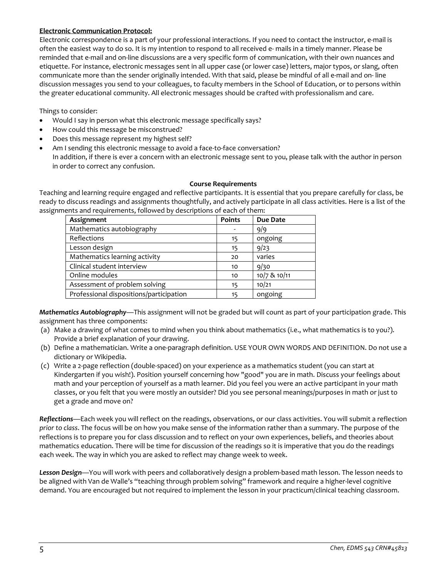### **Electronic Communication Protocol:**

Electronic correspondence is a part of your professional interactions. If you need to contact the instructor, e-mail is often the easiest way to do so. It is my intention to respond to all received e- mails in a timely manner. Please be reminded that e-mail and on-line discussions are a very specific form of communication, with their own nuances and etiquette. For instance, electronic messages sent in all upper case (or lower case) letters, major typos, or slang, often communicate more than the sender originally intended. With that said, please be mindful of all e-mail and on- line discussion messages you send to your colleagues, to faculty members in the School of Education, or to persons within the greater educational community. All electronic messages should be crafted with professionalism and care.

Things to consider:

- Would I say in person what this electronic message specifically says?
- How could this message be misconstrued?
- Does this message represent my highest self?
- Am I sending this electronic message to avoid a face-to-face conversation? In addition, if there is ever a concern with an electronic message sent to you, please talk with the author in person in order to correct any confusion.

#### **Course Requirements**

Teaching and learning require engaged and reflective participants. It is essential that you prepare carefully for class, be ready to discuss readings and assignments thoughtfully, and actively participate in all class activities. Here is a list of the assignments and requirements, followed by descriptions of each of them:

| Assignment                              | <b>Points</b> | <b>Due Date</b> |
|-----------------------------------------|---------------|-----------------|
| Mathematics autobiography               |               | 9/9             |
| Reflections                             | 15            | ongoing         |
| Lesson design                           | 15            | 9/23            |
| Mathematics learning activity           | 20            | varies          |
| Clinical student interview              | 10            | 9/30            |
| Online modules                          | 10            | 10/7 & 10/11    |
| Assessment of problem solving           | 15            | 10/21           |
| Professional dispositions/participation | 15            | ongoing         |

*Mathematics Autobiography*—This assignment will not be graded but will count as part of your participation grade. This assignment has three components:

- (a) Make a drawing of what comes to mind when you think about mathematics (i.e., what mathematics is to you?). Provide a brief explanation of your drawing.
- (b) Define a mathematician. Write a one-paragraph definition. USE YOUR OWN WORDS AND DEFINITION. Do not use a dictionary or Wikipedia.
- (c) Write a 2-page reflection (double-spaced) on your experience as a mathematics student (you can start at Kindergarten if you wish!). Position yourself concerning how "good" you are in math. Discuss your feelings about math and your perception of yourself as a math learner. Did you feel you were an active participant in your math classes, or you felt that you were mostly an outsider? Did you see personal meanings/purposes in math or just to get a grade and move on?

*Reflections*—Each week you will reflect on the readings, observations, or our class activities. You will submit a reflection *prior to class*. The focus will be on how you make sense of the information rather than a summary. The purpose of the reflections is to prepare you for class discussion and to reflect on your own experiences, beliefs, and theories about mathematics education. There will be time for discussion of the readings so it is imperative that you do the readings each week. The way in which you are asked to reflect may change week to week.

*Lesson Design*—You will work with peers and collaboratively design a problem-based math lesson. The lesson needs to be aligned with Van de Walle's "teaching through problem solving" framework and require a higher-level cognitive demand. You are encouraged but not required to implement the lesson in your practicum/clinical teaching classroom.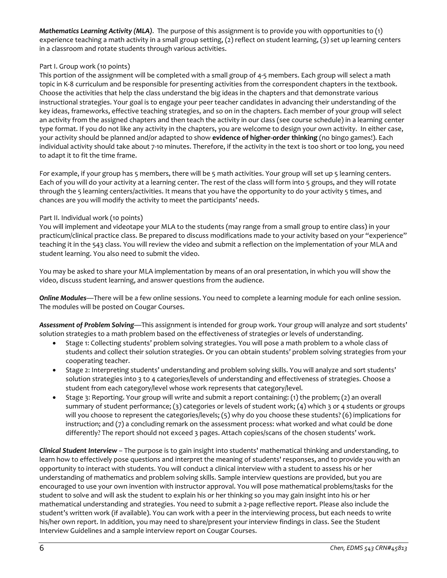*Mathematics Learning Activity (MLA)*. The purpose of this assignment is to provide you with opportunities to (1) experience teaching a math activity in a small group setting, (2) reflect on student learning, (3) set up learning centers in a classroom and rotate students through various activities.

## Part I. Group work (10 points)

This portion of the assignment will be completed with a small group of 4-5 members. Each group will select a math topic in K-8 curriculum and be responsible for presenting activities from the correspondent chapters in the textbook. Choose the activities that help the class understand the big ideas in the chapters and that demonstrate various instructional strategies. Your goal is to engage your peer teacher candidates in advancing their understanding of the key ideas, frameworks, effective teaching strategies, and so on in the chapters. Each member of your group will select an activity from the assigned chapters and then teach the activity in our class (see course schedule) in a learning center type format. If you do not like any activity in the chapters, you are welcome to design your own activity. In either case, your activity should be planned and/or adapted to show **evidence of higher-order thinking** (no bingo games!). Each individual activity should take about 7-10 minutes. Therefore, if the activity in the text is too short or too long, you need to adapt it to fit the time frame.

For example, if your group has 5 members, there will be 5 math activities. Your group will set up 5 learning centers. Each of you will do your activity at a learning center. The rest of the class will form into 5 groups, and they will rotate through the 5 learning centers/activities. It means that you have the opportunity to do your activity 5 times, and chances are you will modify the activity to meet the participants' needs.

## Part II. Individual work (10 points)

You will implement and videotape your MLA to the students (may range from a small group to entire class) in your practicum/clinical practice class. Be prepared to discuss modifications made to your activity based on your "experience" teaching it in the 543 class. You will review the video and submit a reflection on the implementation of your MLA and student learning. You also need to submit the video.

You may be asked to share your MLA implementation by means of an oral presentation, in which you will show the video, discuss student learning, and answer questions from the audience.

*Online Modules*—There will be a few online sessions. You need to complete a learning module for each online session. The modules will be posted on Cougar Courses.

*Assessment of Problem Solving*—This assignment is intended for group work. Your group will analyze and sort students' solution strategies to a math problem based on the effectiveness of strategies or levels of understanding.

- Stage 1: Collecting students' problem solving strategies. You will pose a math problem to a whole class of students and collect their solution strategies. Or you can obtain students' problem solving strategies from your cooperating teacher.
- Stage 2: Interpreting students' understanding and problem solving skills. You will analyze and sort students' solution strategies into 3 to 4 categories/levels of understanding and effectiveness of strategies. Choose a student from each category/level whose work represents that category/level.
- Stage 3: Reporting. Your group will write and submit a report containing: (1) the problem; (2) an overall summary of student performance; (3) categories or levels of student work; (4) which 3 or 4 students or groups will you choose to represent the categories/levels; (5) why do you choose these students? (6) implications for instruction; and (7) a concluding remark on the assessment process: what worked and what could be done differently? The report should not exceed 3 pages. Attach copies/scans of the chosen students' work.

*Clinical Student Interview* – The purpose is to gain insight into students' mathematical thinking and understanding, to learn how to effectively pose questions and interpret the meaning of students' responses, and to provide you with an opportunity to interact with students. You will conduct a clinical interview with a student to assess his or her understanding of mathematics and problem solving skills. Sample interview questions are provided, but you are encouraged to use your own invention with instructor approval. You will pose mathematical problems/tasks for the student to solve and will ask the student to explain his or her thinking so you may gain insight into his or her mathematical understanding and strategies. You need to submit a 2-page reflective report. Please also include the student's written work (if available). You can work with a peer in the interviewing process, but each needs to write his/her own report. In addition, you may need to share/present your interview findings in class. See the Student Interview Guidelines and a sample interview report on Cougar Courses.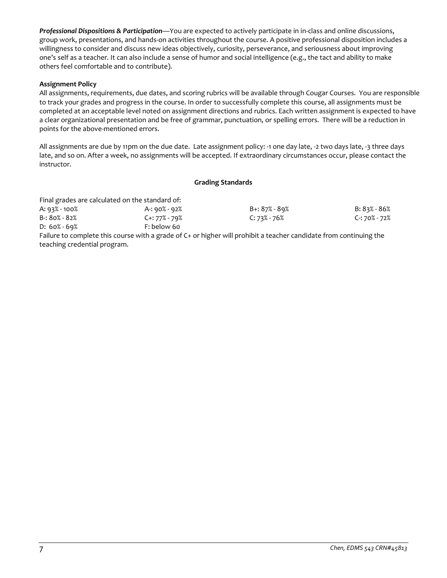*Professional Dispositions & Participation*—You are expected to actively participate in in-class and online discussions, group work, presentations, and hands-on activities throughout the course. A positive professional disposition includes a willingness to consider and discuss new ideas objectively, curiosity, perseverance, and seriousness about improving one's self as a teacher. It can also include a sense of humor and social intelligence (e.g., the tact and ability to make others feel comfortable and to contribute).

## **Assignment Policy**

All assignments, requirements, due dates, and scoring rubrics will be available through Cougar Courses. You are responsible to track your grades and progress in the course. In order to successfully complete this course, all assignments must be completed at an acceptable level noted on assignment directions and rubrics. Each written assignment is expected to have a clear organizational presentation and be free of grammar, punctuation, or spelling errors. There will be a reduction in points for the above-mentioned errors.

All assignments are due by 11pm on the due date. Late assignment policy: -1 one day late, -2 two days late, -3 three days late, and so on. After a week, no assignments will be accepted. If extraordinary circumstances occur, please contact the instructor.

#### **Grading Standards**

| Final grades are calculated on the standard of: |                                                                                                                    |                  |               |
|-------------------------------------------------|--------------------------------------------------------------------------------------------------------------------|------------------|---------------|
| A: 93% - 100%                                   | A-: 90% - 92%                                                                                                      | B+: 87% - 89%    | B: 83% - 86%  |
| $B - 80\% - 82\%$                               | C+: 77% - 79%                                                                                                      | $C: 73\% - 76\%$ | C-: 70% - 72% |
| $D: 60\% - 69\%$                                | F: below 60                                                                                                        |                  |               |
|                                                 | Failure to complete this course with a grade of C+ or higher will prohibit a teacher candidate from continuing the |                  |               |

teaching credential program.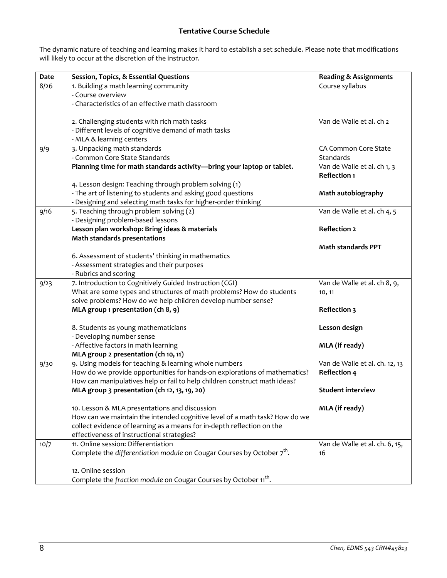# **Tentative Course Schedule**

The dynamic nature of teaching and learning makes it hard to establish a set schedule. Please note that modifications will likely to occur at the discretion of the instructor.

| <b>Date</b> | Session, Topics, & Essential Questions                                             | <b>Reading &amp; Assignments</b> |
|-------------|------------------------------------------------------------------------------------|----------------------------------|
| 8/26        | 1. Building a math learning community                                              | Course syllabus                  |
|             | - Course overview                                                                  |                                  |
|             | - Characteristics of an effective math classroom                                   |                                  |
|             |                                                                                    |                                  |
|             | 2. Challenging students with rich math tasks                                       | Van de Walle et al. ch 2         |
|             | - Different levels of cognitive demand of math tasks                               |                                  |
|             | - MLA & learning centers                                                           |                                  |
| 9/9         | 3. Unpacking math standards                                                        | CA Common Core State             |
|             | - Common Core State Standards                                                      | Standards                        |
|             | Planning time for math standards activity-bring your laptop or tablet.             | Van de Walle et al. ch 1, 3      |
|             |                                                                                    | <b>Reflection 1</b>              |
|             | 4. Lesson design: Teaching through problem solving (1)                             |                                  |
|             | - The art of listening to students and asking good questions                       | Math autobiography               |
|             | - Designing and selecting math tasks for higher-order thinking                     |                                  |
| 9/16        | 5. Teaching through problem solving (2)                                            | Van de Walle et al. ch 4, 5      |
|             | - Designing problem-based lessons                                                  |                                  |
|             | Lesson plan workshop: Bring ideas & materials                                      | <b>Reflection 2</b>              |
|             | <b>Math standards presentations</b>                                                |                                  |
|             |                                                                                    | <b>Math standards PPT</b>        |
|             | 6. Assessment of students' thinking in mathematics                                 |                                  |
|             | - Assessment strategies and their purposes                                         |                                  |
|             | - Rubrics and scoring                                                              |                                  |
| 9/23        | 7. Introduction to Cognitively Guided Instruction (CGI)                            | Van de Walle et al. ch 8, 9,     |
|             | What are some types and structures of math problems? How do students               | 10, 11                           |
|             | solve problems? How do we help children develop number sense?                      |                                  |
|             | MLA group 1 presentation (ch 8, 9)                                                 | <b>Reflection 3</b>              |
|             | 8. Students as young mathematicians                                                | Lesson design                    |
|             | - Developing number sense                                                          |                                  |
|             | - Affective factors in math learning                                               | MLA (if ready)                   |
|             | MLA group 2 presentation (ch 10, 11)                                               |                                  |
| 9/30        | 9. Using models for teaching & learning whole numbers                              | Van de Walle et al. ch. 12, 13   |
|             | How do we provide opportunities for hands-on explorations of mathematics?          | <b>Reflection 4</b>              |
|             | How can manipulatives help or fail to help children construct math ideas?          |                                  |
|             | MLA group 3 presentation (ch 12, 13, 19, 20)                                       | <b>Student interview</b>         |
|             | 10. Lesson & MLA presentations and discussion                                      | MLA (if ready)                   |
|             | How can we maintain the intended cognitive level of a math task? How do we         |                                  |
|             | collect evidence of learning as a means for in-depth reflection on the             |                                  |
|             | effectiveness of instructional strategies?                                         |                                  |
| 10/7        | 11. Online session: Differentiation                                                | Van de Walle et al. ch. 6, 15,   |
|             | Complete the differentiation module on Cougar Courses by October 7 <sup>th</sup> . | 16                               |
|             |                                                                                    |                                  |
|             | 12. Online session                                                                 |                                  |
|             | Complete the fraction module on Cougar Courses by October 11 <sup>th</sup> .       |                                  |